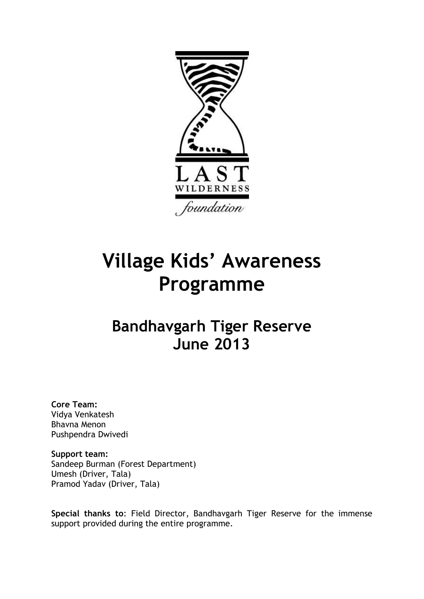

# **Village Kids' Awareness Programme**

## **Bandhavgarh Tiger Reserve June 2013**

**Core Team:**  Vidya Venkatesh Bhavna Menon Pushpendra Dwivedi

**Support team:** Sandeep Burman (Forest Department) Umesh (Driver, Tala) Pramod Yadav (Driver, Tala)

**Special thanks to**: Field Director, Bandhavgarh Tiger Reserve for the immense support provided during the entire programme.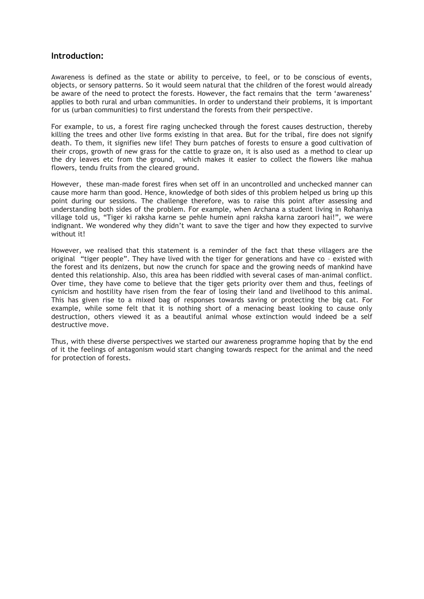#### **Introduction:**

Awareness is defined as the state or ability to perceive, to feel, or to be conscious of events, objects, or sensory patterns. So it would seem natural that the children of the forest would already be aware of the need to protect the forests. However, the fact remains that the term 'awareness' applies to both rural and urban communities. In order to understand their problems, it is important for us (urban communities) to first understand the forests from their perspective.

For example, to us, a forest fire raging unchecked through the forest causes destruction, thereby killing the trees and other live forms existing in that area. But for the tribal, fire does not signify death. To them, it signifies new life! They burn patches of forests to ensure a good cultivation of their crops, growth of new grass for the cattle to graze on, it is also used as a method to clear up the dry leaves etc from the ground, which makes it easier to collect the flowers like mahua flowers, tendu fruits from the cleared ground.

However, these man-made forest fires when set off in an uncontrolled and unchecked manner can cause more harm than good. Hence, knowledge of both sides of this problem helped us bring up this point during our sessions. The challenge therefore, was to raise this point after assessing and understanding both sides of the problem. For example, when Archana a student living in Rohaniya village told us, "Tiger ki raksha karne se pehle humein apni raksha karna zaroori hai!", we were indignant. We wondered why they didn"t want to save the tiger and how they expected to survive without it!

However, we realised that this statement is a reminder of the fact that these villagers are the original "tiger people". They have lived with the tiger for generations and have co – existed with the forest and its denizens, but now the crunch for space and the growing needs of mankind have dented this relationship. Also, this area has been riddled with several cases of man-animal conflict. Over time, they have come to believe that the tiger gets priority over them and thus, feelings of cynicism and hostility have risen from the fear of losing their land and livelihood to this animal. This has given rise to a mixed bag of responses towards saving or protecting the big cat. For example, while some felt that it is nothing short of a menacing beast looking to cause only destruction, others viewed it as a beautiful animal whose extinction would indeed be a self destructive move.

Thus, with these diverse perspectives we started our awareness programme hoping that by the end of it the feelings of antagonism would start changing towards respect for the animal and the need for protection of forests.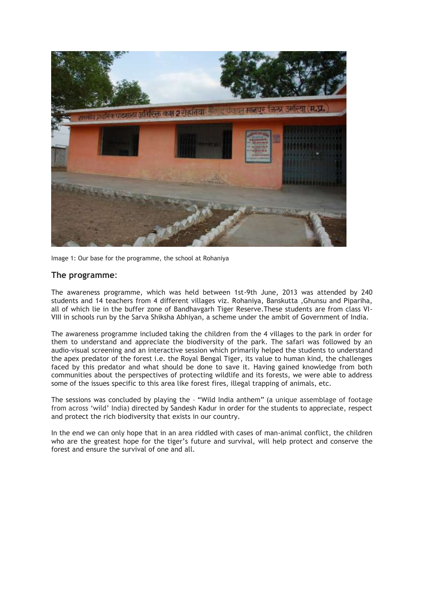

Image 1: Our base for the programme, the school at Rohaniya

#### **The programme**:

The awareness programme, which was held between 1st-9th June, 2013 was attended by 240 students and 14 teachers from 4 different villages viz. Rohaniya, Banskutta ,Ghunsu and Pipariha, all of which lie in the buffer zone of Bandhavgarh Tiger Reserve.These students are from class VI-VIII in schools run by the Sarva Shiksha Abhiyan, a scheme under the ambit of Government of India.

The awareness programme included taking the children from the 4 villages to the park in order for them to understand and appreciate the biodiversity of the park. The safari was followed by an audio-visual screening and an interactive session which primarily helped the students to understand the apex predator of the forest i.e. the Royal Bengal Tiger, its value to human kind, the challenges faced by this predator and what should be done to save it. Having gained knowledge from both communities about the perspectives of protecting wildlife and its forests, we were able to address some of the issues specific to this area like forest fires, illegal trapping of animals, etc.

The sessions was concluded by playing the – "Wild India anthem" (a unique assemblage of footage from across 'wild' India) directed by Sandesh Kadur in order for the students to appreciate, respect and protect the rich biodiversity that exists in our country.

In the end we can only hope that in an area riddled with cases of man-animal conflict, the children who are the greatest hope for the tiger"s future and survival, will help protect and conserve the forest and ensure the survival of one and all.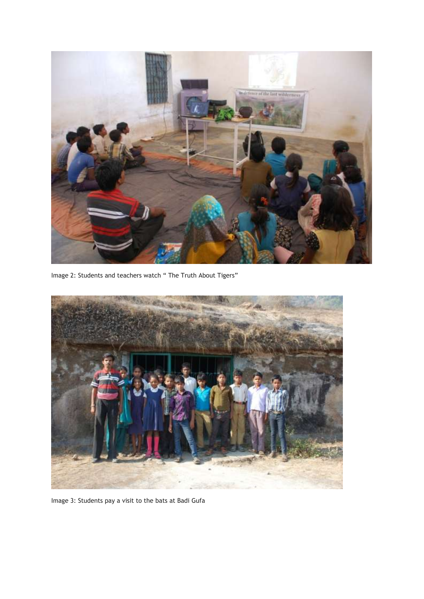

Image 2: Students and teachers watch " The Truth About Tigers"



Image 3: Students pay a visit to the bats at Badi Gufa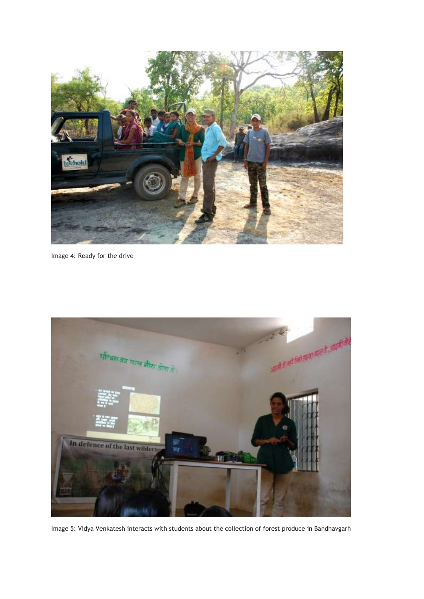

Image 4: Ready for the drive



Image 5: Vidya Venkatesh interacts with students about the collection of forest produce in Bandhavgarh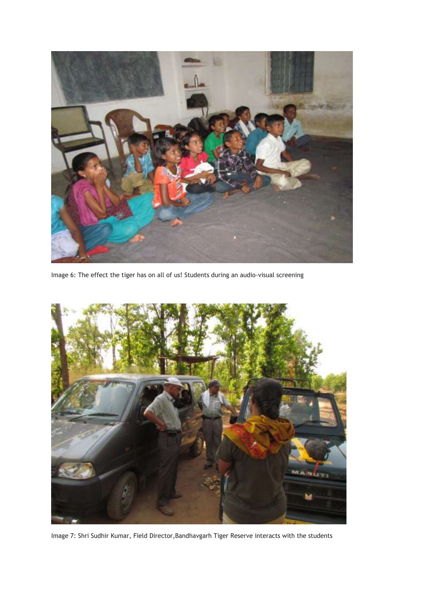

Image 6: The effect the tiger has on all of us! Students during an audio-visual screening



Image 7: Shri Sudhir Kumar, Field Director,Bandhavgarh Tiger Reserve interacts with the students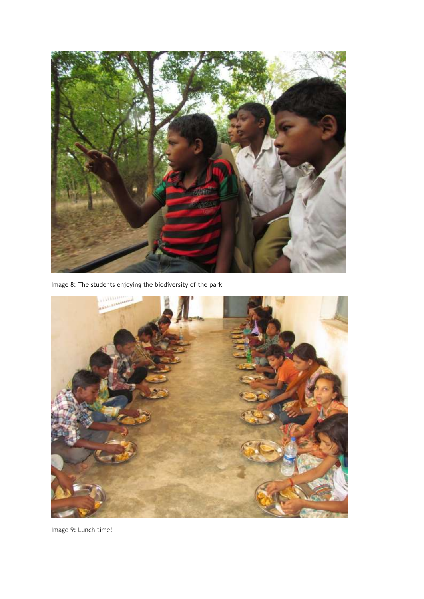

Image 8: The students enjoying the biodiversity of the park



Image 9: Lunch time!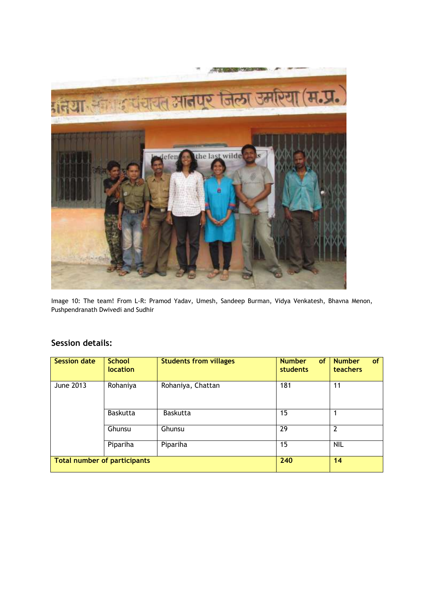

Image 10: The team! From L-R: Pramod Yadav, Umesh, Sandeep Burman, Vidya Venkatesh, Bhavna Menon, Pushpendranath Dwivedi and Sudhir

### **Session details:**

| <b>Session date</b>          | <b>School</b><br>location | <b>Students from villages</b> | <b>Number</b><br><b>of</b><br>students | <b>Number</b><br><b>of</b><br>teachers |
|------------------------------|---------------------------|-------------------------------|----------------------------------------|----------------------------------------|
| <b>June 2013</b>             | Rohaniya                  | Rohaniya, Chattan             | 181                                    | 11                                     |
|                              | <b>Baskutta</b>           | <b>Baskutta</b>               | 15                                     |                                        |
|                              | Ghunsu                    | Ghunsu                        | 29                                     | $\overline{2}$                         |
|                              | Pipariha                  | Pipariha                      | 15                                     | <b>NIL</b>                             |
| Total number of participants |                           |                               | 240                                    | 14                                     |